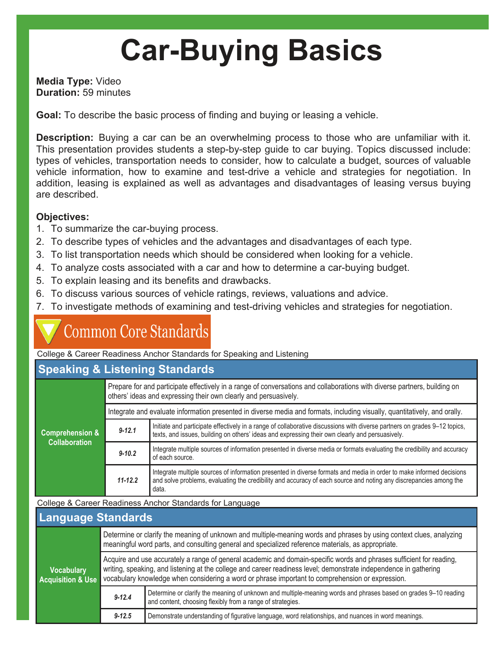**Media Type:** Video **Duration:** 59 minutes

**Goal:** To describe the basic process of finding and buying or leasing a vehicle.

**Description:** Buying a car can be an overwhelming process to those who are unfamiliar with it. This presentation provides students a step-by-step guide to car buying. Topics discussed include: types of vehicles, transportation needs to consider, how to calculate a budget, sources of valuable vehicle information, how to examine and test-drive a vehicle and strategies for negotiation. In addition, leasing is explained as well as advantages and disadvantages of leasing versus buying are described.

### **Objectives:**

- 1. To summarize the car-buying process.
- 2. To describe types of vehicles and the advantages and disadvantages of each type.
- 3. To list transportation needs which should be considered when looking for a vehicle.
- 4. To analyze costs associated with a car and how to determine a car-buying budget.
- 5. To explain leasing and its benefits and drawbacks.
- 6. To discuss various sources of vehicle ratings, reviews, valuations and advice.
- 7. To investigate methods of examining and test-driving vehicles and strategies for negotiation.

### **Common Core Standards**

College & Career Readiness Anchor Standards for Speaking and Listening

### **Speaking & Listening Standards**

Prepare for and participate effectively in a range of conversations and collaborations with diverse partners, building on others' ideas and expressing their own clearly and persuasively.

| <b>Comprehension &amp;</b><br><b>Collaboration</b> | Integrate and evaluate information presented in diverse media and formats, including visually, quantitatively, and orally. |                                                                                                                                                                                                                                                    |  |
|----------------------------------------------------|----------------------------------------------------------------------------------------------------------------------------|----------------------------------------------------------------------------------------------------------------------------------------------------------------------------------------------------------------------------------------------------|--|
|                                                    | $9 - 12.1$                                                                                                                 | Initiate and participate effectively in a range of collaborative discussions with diverse partners on grades 9–12 topics,<br>texts, and issues, building on others' ideas and expressing their own clearly and persuasively.                       |  |
|                                                    | $9 - 10.2$                                                                                                                 | Integrate multiple sources of information presented in diverse media or formats evaluating the credibility and accuracy<br>of each source.                                                                                                         |  |
|                                                    | $11 - 12.2$                                                                                                                | Integrate multiple sources of information presented in diverse formats and media in order to make informed decisions<br>and solve problems, evaluating the credibility and accuracy of each source and noting any discrepancies among the<br>data. |  |

College & Career Readiness Anchor Standards for Language

### **Language Standards**

| <b>Vocabulary</b><br><b>Acquisition &amp; Use</b> | Determine or clarify the meaning of unknown and multiple-meaning words and phrases by using context clues, analyzing<br>meaningful word parts, and consulting general and specialized reference materials, as appropriate.                                                                                                                    |                                                                                                                                                                               |  |
|---------------------------------------------------|-----------------------------------------------------------------------------------------------------------------------------------------------------------------------------------------------------------------------------------------------------------------------------------------------------------------------------------------------|-------------------------------------------------------------------------------------------------------------------------------------------------------------------------------|--|
|                                                   | Acquire and use accurately a range of general academic and domain-specific words and phrases sufficient for reading,<br>writing, speaking, and listening at the college and career readiness level; demonstrate independence in gathering<br>vocabulary knowledge when considering a word or phrase important to comprehension or expression. |                                                                                                                                                                               |  |
|                                                   | $9 - 12.4$                                                                                                                                                                                                                                                                                                                                    | Determine or clarify the meaning of unknown and multiple-meaning words and phrases based on grades 9-10 reading<br>and content, choosing flexibly from a range of strategies. |  |
|                                                   | $9 - 12.5$                                                                                                                                                                                                                                                                                                                                    | Demonstrate understanding of figurative language, word relationships, and nuances in word meanings.                                                                           |  |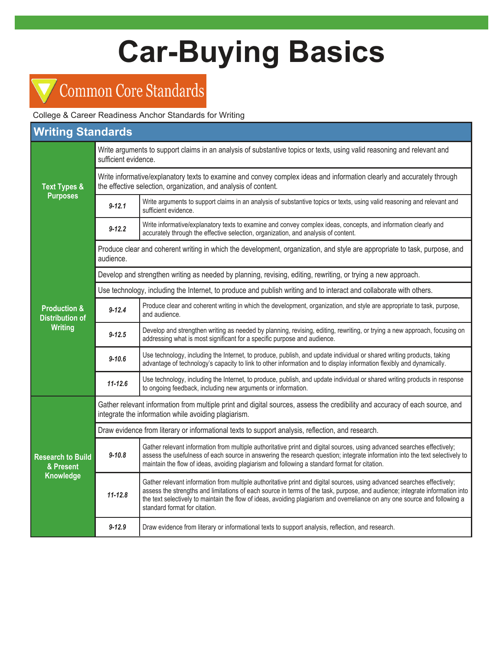## Common Core Standards

College & Career Readiness Anchor Standards for Writing

| <b>Writing Standards</b>                                            |                                                                                                                                                                                           |                                                                                                                                                                                                                                                                                                                                                                                                                       |  |  |
|---------------------------------------------------------------------|-------------------------------------------------------------------------------------------------------------------------------------------------------------------------------------------|-----------------------------------------------------------------------------------------------------------------------------------------------------------------------------------------------------------------------------------------------------------------------------------------------------------------------------------------------------------------------------------------------------------------------|--|--|
| <b>Text Types &amp;</b><br><b>Purposes</b>                          | Write arguments to support claims in an analysis of substantive topics or texts, using valid reasoning and relevant and<br>sufficient evidence.                                           |                                                                                                                                                                                                                                                                                                                                                                                                                       |  |  |
|                                                                     | Write informative/explanatory texts to examine and convey complex ideas and information clearly and accurately through<br>the effective selection, organization, and analysis of content. |                                                                                                                                                                                                                                                                                                                                                                                                                       |  |  |
|                                                                     | $9 - 12.1$                                                                                                                                                                                | Write arguments to support claims in an analysis of substantive topics or texts, using valid reasoning and relevant and<br>sufficient evidence.                                                                                                                                                                                                                                                                       |  |  |
|                                                                     | $9 - 12.2$                                                                                                                                                                                | Write informative/explanatory texts to examine and convey complex ideas, concepts, and information clearly and<br>accurately through the effective selection, organization, and analysis of content.                                                                                                                                                                                                                  |  |  |
| <b>Production &amp;</b><br><b>Distribution of</b><br><b>Writing</b> | Produce clear and coherent writing in which the development, organization, and style are appropriate to task, purpose, and<br>audience.                                                   |                                                                                                                                                                                                                                                                                                                                                                                                                       |  |  |
|                                                                     | Develop and strengthen writing as needed by planning, revising, editing, rewriting, or trying a new approach.                                                                             |                                                                                                                                                                                                                                                                                                                                                                                                                       |  |  |
|                                                                     | Use technology, including the Internet, to produce and publish writing and to interact and collaborate with others.                                                                       |                                                                                                                                                                                                                                                                                                                                                                                                                       |  |  |
|                                                                     | $9 - 12.4$                                                                                                                                                                                | Produce clear and coherent writing in which the development, organization, and style are appropriate to task, purpose,<br>and audience.                                                                                                                                                                                                                                                                               |  |  |
|                                                                     | $9 - 12.5$                                                                                                                                                                                | Develop and strengthen writing as needed by planning, revising, editing, rewriting, or trying a new approach, focusing on<br>addressing what is most significant for a specific purpose and audience.                                                                                                                                                                                                                 |  |  |
|                                                                     | $9 - 10.6$                                                                                                                                                                                | Use technology, including the Internet, to produce, publish, and update individual or shared writing products, taking<br>advantage of technology's capacity to link to other information and to display information flexibly and dynamically.                                                                                                                                                                         |  |  |
|                                                                     | $11 - 12.6$                                                                                                                                                                               | Use technology, including the Internet, to produce, publish, and update individual or shared writing products in response<br>to ongoing feedback, including new arguments or information.                                                                                                                                                                                                                             |  |  |
| <b>Research to Build</b><br>& Present<br>Knowledge                  | Gather relevant information from multiple print and digital sources, assess the credibility and accuracy of each source, and<br>integrate the information while avoiding plagiarism.      |                                                                                                                                                                                                                                                                                                                                                                                                                       |  |  |
|                                                                     | Draw evidence from literary or informational texts to support analysis, reflection, and research.                                                                                         |                                                                                                                                                                                                                                                                                                                                                                                                                       |  |  |
|                                                                     | $9 - 10.8$                                                                                                                                                                                | Gather relevant information from multiple authoritative print and digital sources, using advanced searches effectively;<br>assess the usefulness of each source in answering the research question; integrate information into the text selectively to<br>maintain the flow of ideas, avoiding plagiarism and following a standard format for citation.                                                               |  |  |
|                                                                     | $11 - 12.8$                                                                                                                                                                               | Gather relevant information from multiple authoritative print and digital sources, using advanced searches effectively;<br>assess the strengths and limitations of each source in terms of the task, purpose, and audience; integrate information into<br>the text selectively to maintain the flow of ideas, avoiding plagiarism and overreliance on any one source and following a<br>standard format for citation. |  |  |
|                                                                     | $9 - 12.9$                                                                                                                                                                                | Draw evidence from literary or informational texts to support analysis, reflection, and research.                                                                                                                                                                                                                                                                                                                     |  |  |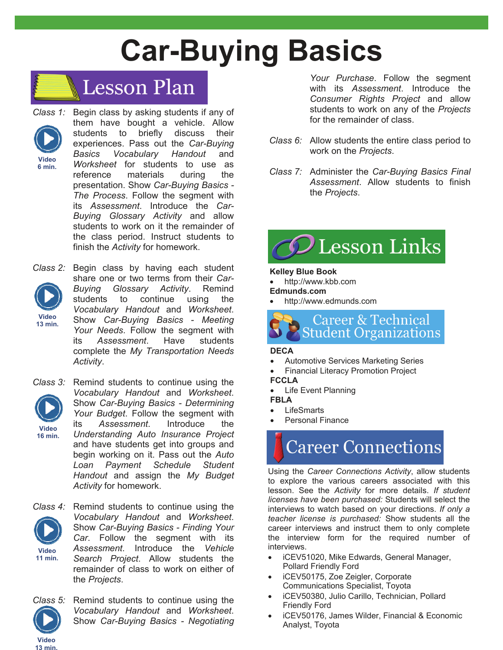## **Lesson Plan**

- *Class 1:* Begin class by asking students if any of them have bought a vehicle. Allow students to briefly discuss their experiences. Pass out the *Car-Buying Basics Vocabulary Handout* and *Worksheet* for students to use as reference materials during the presentation. Show *Car-Buying Basics - The Process*. Follow the segment with its *Assessment*. Introduce the *Car-Buying Glossary Activity* and allow students to work on it the remainder of the class period. Instruct students to finish the *Activity* for homework. **Video 6 min.**
- *Class 2:* Begin class by having each student share one or two terms from their *Car-Buying Glossary Activity*. Remind students to continue using the *Vocabulary Handout* and *Worksheet*. Show *Car-Buying Basics - Meeting Your Needs*. Follow the segment with its *Assessment*. Have students complete the *My Transportation Needs Activity*. **Video 13 min.**



*Class 3:* Remind students to continue using the *Vocabulary Handout* and *Worksheet*. Show *Car-Buying Basics - Determining Your Budget*. Follow the segment with its *Assessment*. Introduce the *Understanding Auto Insurance Project*  and have students get into groups and begin working on it. Pass out the *Auto Loan Payment Schedule Student Handout* and assign the *My Budget Activity* for homework.



**Video 11 min.** 

*Class 4:* Remind students to continue using the *Vocabulary Handout* and *Worksheet*. Show *Car-Buying Basics - Finding Your Car*. Follow the segment with its *Assessment*. Introduce the *Vehicle Search Project*. Allow students the remainder of class to work on either of the *Projects*.

**Video 13 min.**

*Class 5:* Remind students to continue using the *Vocabulary Handout* and *Worksheet*. Show *Car-Buying Basics - Negotiating* 

*Your Purchase*. Follow the segment with its *Assessment*. Introduce the *Consumer Rights Project* and allow students to work on any of the *Projects* for the remainder of class.

- *Class 6:* Allow students the entire class period to work on the *Projects*.
- *Class 7:* Administer the *Car-Buying Basics Final Assessment*. Allow students to finish the *Projects*.



#### **Kelley Blue Book**

- http://www.kbb.com **Edmunds.com**
- http://www.edmunds.com

Career & Technical<br>Student Organizations

#### **DECA**

- Automotive Services Marketing Series
- Financial Literacy Promotion Project
- **FCCLA**
- Life Event Planning

**FBLA** 

- **LifeSmarts**
- Personal Finance

## **Career Connections**

Using the *Career Connections Activity*, allow students to explore the various careers associated with this lesson. See the *Activity* for more details. *If student licenses have been purchased:* Students will select the interviews to watch based on your directions. *If only a teacher license is purchased:* Show students all the career interviews and instruct them to only complete the interview form for the required number of interviews.

- iCEV51020, Mike Edwards, General Manager, Pollard Friendly Ford
- iCEV50175, Zoe Zeigler, Corporate Communications Specialist, Toyota
- iCEV50380, Julio Carillo, Technician, Pollard Friendly Ford
- iCEV50176, James Wilder, Financial & Economic Analyst, Toyota